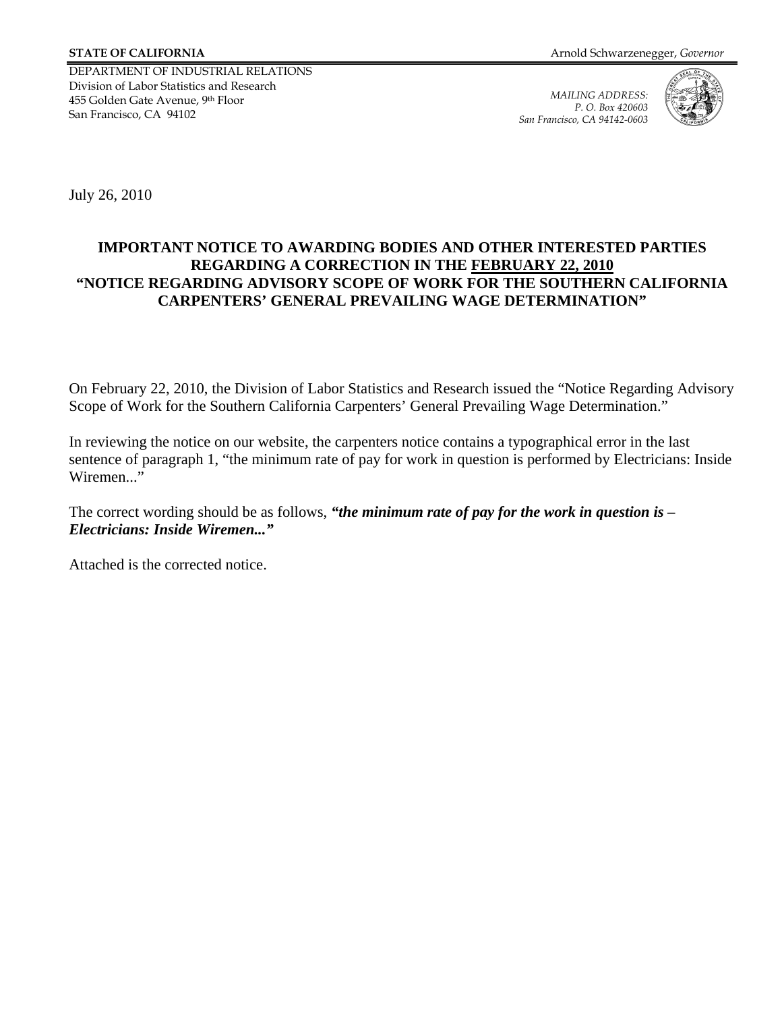DEPARTMENT OF INDUSTRIAL RELATIONS Division of Labor Statistics and Research 455 Golden Gate Avenue, 9th Floor San Francisco, CA 94102

*MAILING ADDRESS: P. O. Box 420603 San Francisco, CA 94142-0603* 



July 26, 2010

## **IMPORTANT NOTICE TO AWARDING BODIES AND OTHER INTERESTED PARTIES REGARDING A CORRECTION IN THE FEBRUARY 22, 2010 "NOTICE REGARDING ADVISORY SCOPE OF WORK FOR THE SOUTHERN CALIFORNIA CARPENTERS' GENERAL PREVAILING WAGE DETERMINATION"**

On February 22, 2010, the Division of Labor Statistics and Research issued the "Notice Regarding Advisory Scope of Work for the Southern California Carpenters' General Prevailing Wage Determination."

In reviewing the notice on our website, the carpenters notice contains a typographical error in the last sentence of paragraph 1, "the minimum rate of pay for work in question is performed by Electricians: Inside Wiremen..."

The correct wording should be as follows, *"the minimum rate of pay for the work in question is – Electricians: Inside Wiremen..."* 

Attached is the corrected notice.